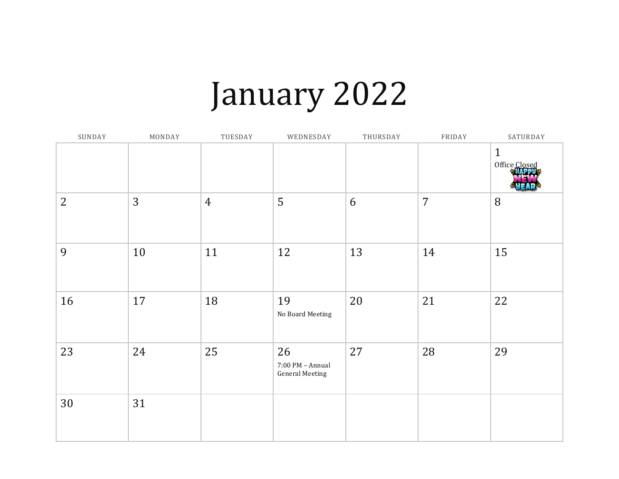### January 2022

| SUNDAY         | MONDAY | TUESDAY        | WEDNESDAY                                        | THURSDAY | FRIDAY         | SATURDAY                      |
|----------------|--------|----------------|--------------------------------------------------|----------|----------------|-------------------------------|
|                |        |                |                                                  |          |                | $\mathbf{1}$<br>Office Closed |
| $\overline{2}$ | 3      | $\overline{4}$ | 5                                                | 6        | $\overline{7}$ | 8                             |
| 9              | 10     | 11             | 12                                               | 13       | 14             | 15                            |
| 16             | 17     | 18             | 19<br>No Board Meeting                           | 20       | 21             | 22                            |
| 23             | 24     | 25             | 26<br>7:00 PM - Annual<br><b>General Meeting</b> | 27       | 28             | 29                            |
| 30             | 31     |                |                                                  |          |                |                               |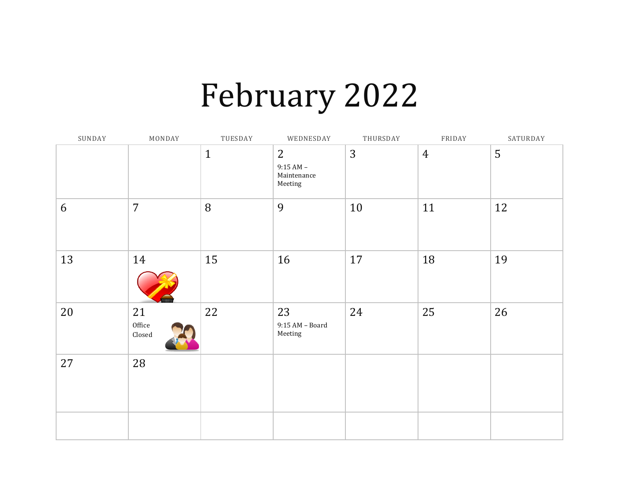## February 2022

| SUNDAY | MONDAY                 | TUESDAY      | WEDNESDAY                                  | THURSDAY | FRIDAY         | SATURDAY |
|--------|------------------------|--------------|--------------------------------------------|----------|----------------|----------|
|        |                        | $\mathbf{1}$ | 2<br>$9:15 AM -$<br>Maintenance<br>Meeting | 3        | $\overline{4}$ | 5        |
| 6      | $\overline{7}$         | 8            | 9                                          | 10       | 11             | 12       |
| 13     | 14                     | 15           | 16                                         | 17       | 18             | 19       |
| 20     | 21<br>Office<br>Closed | 22           | 23<br>$9:15$ AM – Board<br>Meeting         | 24       | 25             | 26       |
| 27     | 28                     |              |                                            |          |                |          |
|        |                        |              |                                            |          |                |          |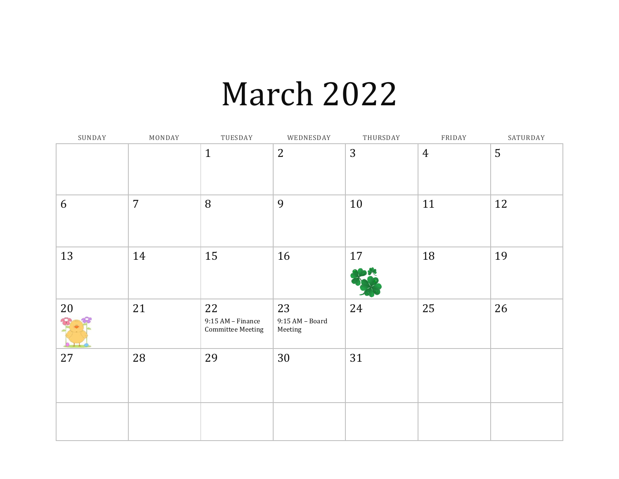#### March 2022

| SUNDAY | MONDAY         | TUESDAY                                               | WEDNESDAY                        | THURSDAY | FRIDAY         | SATURDAY |
|--------|----------------|-------------------------------------------------------|----------------------------------|----------|----------------|----------|
|        |                | $\mathbf{1}$                                          | $\overline{2}$                   | 3        | $\overline{4}$ | 5        |
| 6      | $\overline{7}$ | 8                                                     | 9                                | 10       | 11             | 12       |
| 13     | 14             | 15                                                    | 16                               | 17       | 18             | 19       |
| 20     | 21             | 22<br>$9:15$ AM – Finance<br><b>Committee Meeting</b> | 23<br>9:15 AM - Board<br>Meeting | 24       | 25             | 26       |
| 27     | 28             | 29                                                    | 30                               | 31       |                |          |
|        |                |                                                       |                                  |          |                |          |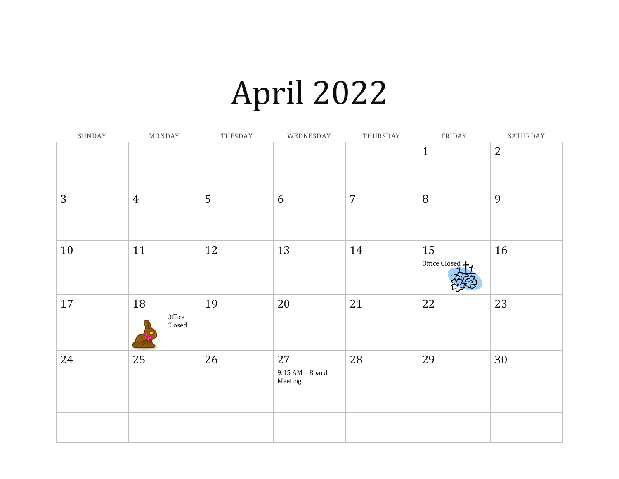## April 2022

| SUNDAY | MONDAY                                  | TUESDAY | WEDNESDAY                          | THURSDAY       | FRIDAY              | SATURDAY       |
|--------|-----------------------------------------|---------|------------------------------------|----------------|---------------------|----------------|
|        |                                         |         |                                    |                | $\mathbf{1}$        | $\overline{2}$ |
| 3      | $\overline{4}$                          | 5       | 6                                  | $\overline{7}$ | 8                   | 9              |
| 10     | 11                                      | 12      | 13                                 | 14             | 15<br>Office Closed | 16             |
| 17     | 18<br>Office<br>$\operatorname{Closed}$ | 19      | 20                                 | 21             | 22                  | 23             |
| 24     | 25                                      | 26      | 27<br>$9:15$ AM – Board<br>Meeting | 28             | 29                  | 30             |
|        |                                         |         |                                    |                |                     |                |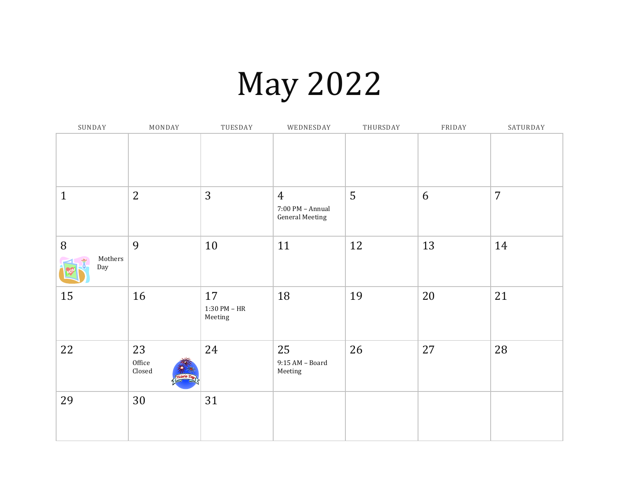# May 2022

| SUNDAY              | MONDAY                 | TUESDAY                         | WEDNESDAY                                                    | THURSDAY | FRIDAY | SATURDAY       |
|---------------------|------------------------|---------------------------------|--------------------------------------------------------------|----------|--------|----------------|
|                     |                        |                                 |                                                              |          |        |                |
| $\mathbf{1}$        | $\overline{2}$         | 3                               | $\overline{4}$<br>7:00 PM - Annual<br><b>General Meeting</b> | 5        | 6      | $\overline{7}$ |
| 8<br>Mothers<br>Day | 9                      | 10                              | 11                                                           | 12       | 13     | 14             |
| 15                  | 16                     | 17<br>$1:30$ PM – HR<br>Meeting | 18                                                           | 19       | 20     | 21             |
| 22                  | 23<br>Office<br>Closed | 24                              | 25<br>9:15 AM - Board<br>Meeting                             | 26       | 27     | 28             |
| 29                  | 30                     | 31                              |                                                              |          |        |                |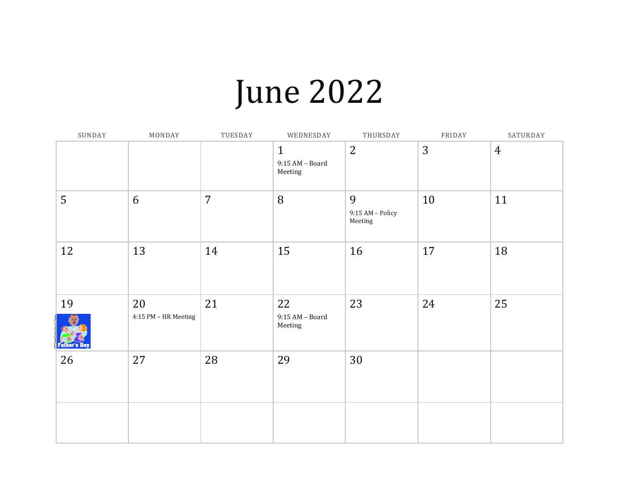## June 2022

| SUNDAY              | MONDAY                     | TUESDAY        | WEDNESDAY                                    | THURSDAY                         | FRIDAY | SATURDAY       |
|---------------------|----------------------------|----------------|----------------------------------------------|----------------------------------|--------|----------------|
|                     |                            |                | $\mathbf{1}$<br>$9:15 AM - Board$<br>Meeting | $\overline{2}$                   | 3      | $\overline{4}$ |
| 5                   | 6                          | $\overline{7}$ | 8                                            | 9<br>9:15 AM - Policy<br>Meeting | 10     | 11             |
| 12                  | 13                         | 14             | 15                                           | 16                               | 17     | 18             |
| 19<br>'ather's llay | 20<br>4:15 PM - HR Meeting | 21             | 22<br>$9:15 AM - Board$<br>Meeting           | 23                               | 24     | 25             |
| 26                  | 27                         | 28             | 29                                           | 30                               |        |                |
|                     |                            |                |                                              |                                  |        |                |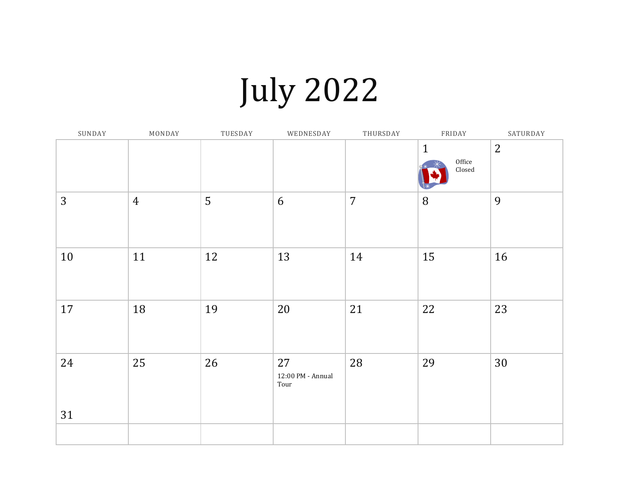# July 2022

| SUNDAY | MONDAY         | TUESDAY | WEDNESDAY                       | THURSDAY       | FRIDAY                                            | SATURDAY       |
|--------|----------------|---------|---------------------------------|----------------|---------------------------------------------------|----------------|
|        |                |         |                                 |                | $\mathbf{1}$<br>Office<br>$\operatorname{Closed}$ | $\overline{2}$ |
| 3      | $\overline{4}$ | 5       | 6                               | $\overline{7}$ | $\, 8$                                            | 9              |
| 10     | 11             | 12      | 13                              | 14             | 15                                                | 16             |
| 17     | 18             | 19      | 20                              | 21             | 22                                                | 23             |
| 24     | 25             | 26      | 27<br>12:00 PM - Annual<br>Tour | 28             | 29                                                | 30             |
| 31     |                |         |                                 |                |                                                   |                |
|        |                |         |                                 |                |                                                   |                |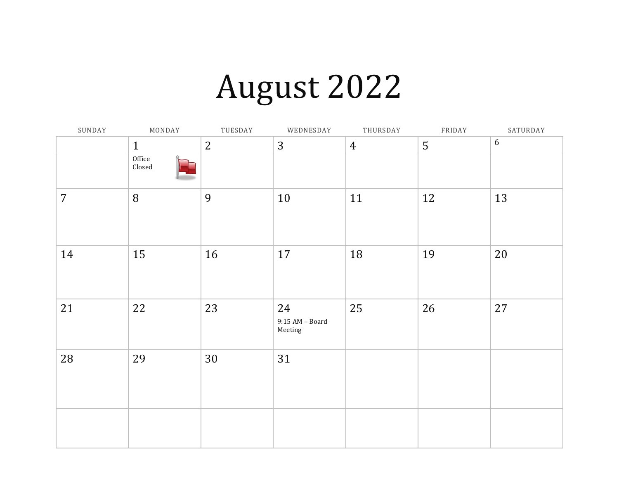## August 2022

| SUNDAY         | MONDAY                                            | TUESDAY        | WEDNESDAY                          | THURSDAY       | FRIDAY | SATURDAY |
|----------------|---------------------------------------------------|----------------|------------------------------------|----------------|--------|----------|
|                | $\mathbf{1}$<br>Office<br>$\operatorname{Closed}$ | $\overline{2}$ | 3                                  | $\overline{4}$ | 5      | 6        |
| $\overline{7}$ | 8                                                 | 9              | 10                                 | 11             | 12     | 13       |
| 14             | 15                                                | 16             | $17\,$                             | 18             | 19     | $20\,$   |
| 21             | 22                                                | 23             | 24<br>$9:15$ AM – Board<br>Meeting | 25             | 26     | 27       |
| 28             | 29                                                | 30             | 31                                 |                |        |          |
|                |                                                   |                |                                    |                |        |          |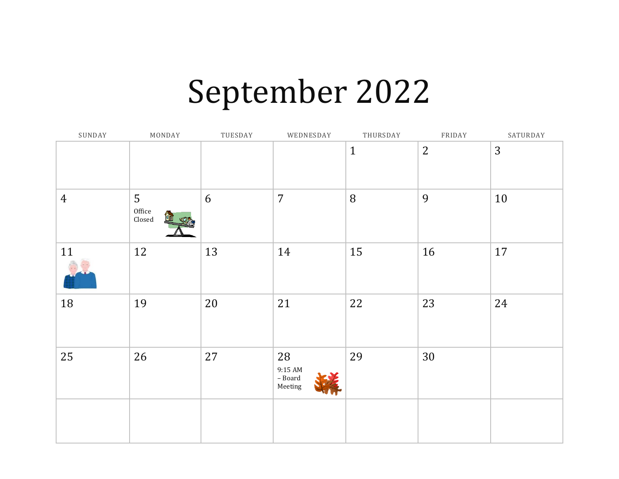#### September 2022

| SUNDAY         | MONDAY                                 | TUESDAY | WEDNESDAY                                     | THURSDAY     | FRIDAY         | SATURDAY |
|----------------|----------------------------------------|---------|-----------------------------------------------|--------------|----------------|----------|
|                |                                        |         |                                               | $\mathbf{1}$ | $\overline{2}$ | 3        |
| $\overline{4}$ | 5<br>Office<br>$\operatorname{Closed}$ | 6       | $\overline{7}$                                | $8\,$        | 9              | 10       |
| 11             | 12                                     | 13      | 14                                            | 15           | 16             | 17       |
| 18             | 19                                     | 20      | 21                                            | 22           | 23             | 24       |
| 25             | 26                                     | 27      | 28<br>9:15 AM<br>$\hbox{--}$ Board<br>Meeting | 29           | 30             |          |
|                |                                        |         |                                               |              |                |          |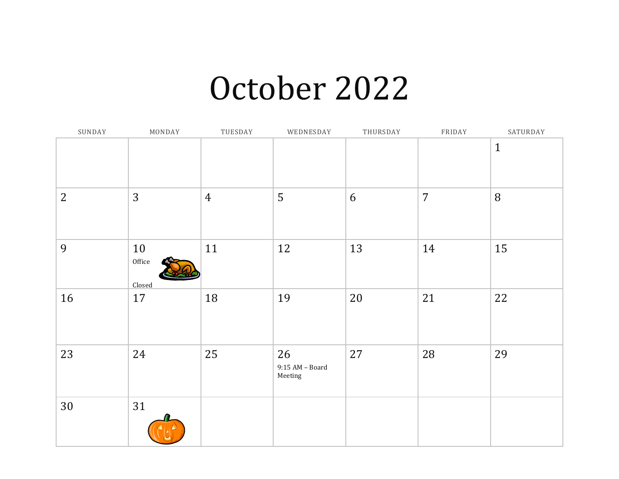#### October 2022

| SUNDAY         | MONDAY                 | TUESDAY        | WEDNESDAY                          | THURSDAY | FRIDAY         | SATURDAY     |
|----------------|------------------------|----------------|------------------------------------|----------|----------------|--------------|
|                |                        |                |                                    |          |                | $\mathbf{1}$ |
| $\overline{2}$ | 3                      | $\overline{4}$ | 5                                  | 6        | $\overline{7}$ | 8            |
| 9              | 10<br>Office<br>Closed | 11             | 12                                 | 13       | 14             | 15           |
| 16             | 17                     | 18             | 19                                 | 20       | 21             | 22           |
| 23             | 24                     | 25             | 26<br>$9:15$ AM – Board<br>Meeting | 27       | 28             | 29           |
| 30             | 31                     |                |                                    |          |                |              |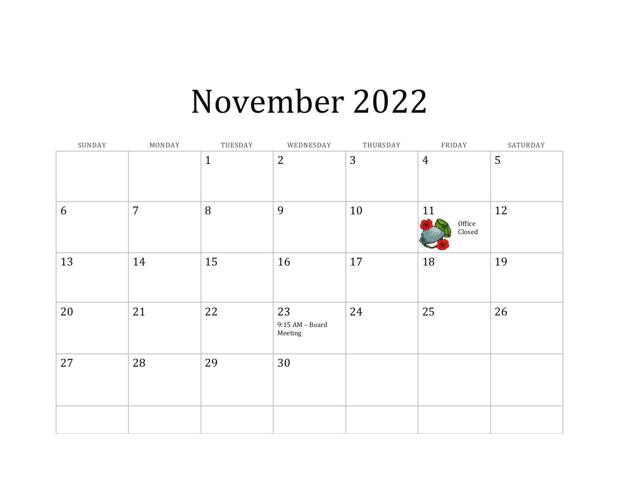#### November 2022

| SUNDAY | MONDAY         | TUESDAY      | WEDNESDAY                          | THURSDAY | FRIDAY                                  | SATURDAY |
|--------|----------------|--------------|------------------------------------|----------|-----------------------------------------|----------|
|        |                | $\mathbf{1}$ | $\overline{2}$                     | 3        | $\overline{4}$                          | 5        |
| 6      | $\overline{7}$ | 8            | 9                                  | 10       | 11<br>Office<br>$\operatorname{Closed}$ | 12       |
| 13     | 14             | 15           | 16                                 | 17       | 18                                      | 19       |
| 20     | 21             | 22           | 23<br>$9:15$ AM – Board<br>Meeting | 24       | 25                                      | 26       |
| 27     | 28             | 29           | 30                                 |          |                                         |          |
|        |                |              |                                    |          |                                         |          |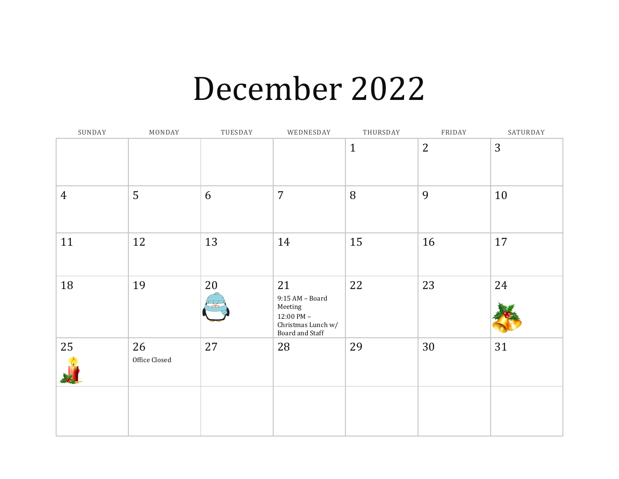#### December 2022

| SUNDAY         | MONDAY              | TUESDAY | WEDNESDAY                                                                                           | THURSDAY     | FRIDAY       | SATURDAY |
|----------------|---------------------|---------|-----------------------------------------------------------------------------------------------------|--------------|--------------|----------|
|                |                     |         |                                                                                                     | $\mathbf{1}$ | $\mathbf{2}$ | 3        |
| $\overline{4}$ | 5                   | 6       | $\overline{7}$                                                                                      | 8            | 9            | 10       |
| 11             | 12                  | 13      | 14                                                                                                  | 15           | 16           | 17       |
| 18             | 19                  | 20      | 21<br>$9:15 AM - Board$<br>Meeting<br>$12:00 \text{ PM} -$<br>Christmas Lunch w/<br>Board and Staff | 22           | 23           | 24       |
| 25             | 26<br>Office Closed | 27      | 28                                                                                                  | 29           | 30           | 31       |
|                |                     |         |                                                                                                     |              |              |          |